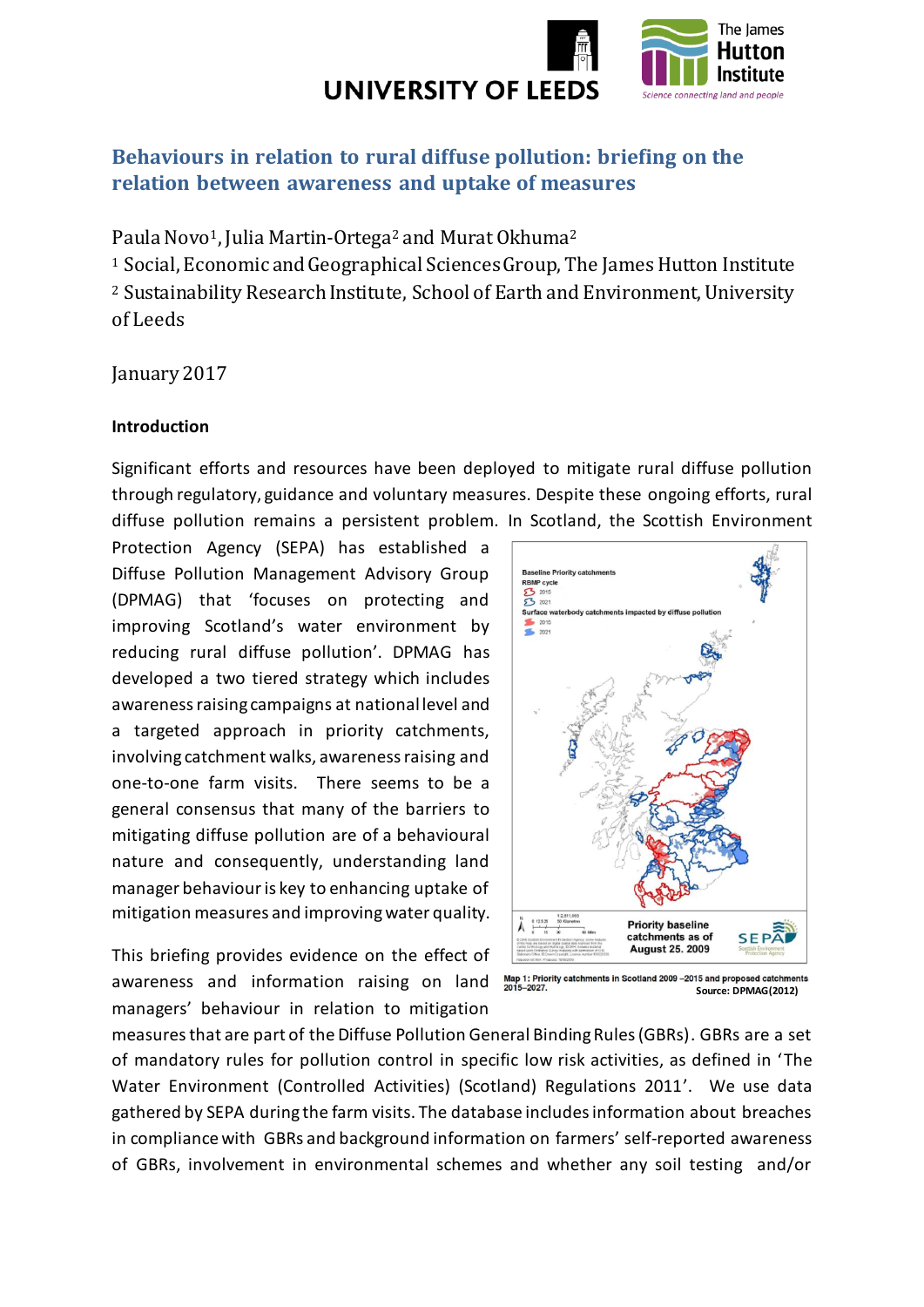

# **Behaviours in relation to rural diffuse pollution: briefing on the relation between awareness and uptake of measures**

Paula Novo<sup>1</sup>, Julia Martin-Ortega<sup>2</sup> and Murat Okhuma<sup>2</sup>

<sup>1</sup> Social, Economic and Geographical Sciences Group, The James Hutton Institute <sup>2</sup> Sustainability Research Institute, School of Earth and Environment, University of Leeds

January 2017

#### **Introduction**

Significant efforts and resources have been deployed to mitigate rural diffuse pollution through regulatory, guidance and voluntary measures. Despite these ongoing efforts, rural diffuse pollution remains a persistent problem. In Scotland, the Scottish Environment

Protection Agency (SEPA) has established a Diffuse Pollution Management Advisory Group (DPMAG) that 'focuses on protecting and improving Scotland's water environment by reducing rural diffuse pollution'. DPMAG has developed a two tiered strategy which includes awareness raising campaigns at national level and a targeted approach in priority catchments, involving catchment walks, awareness raising and one-to-one farm visits. There seems to be a general consensus that many of the barriers to mitigating diffuse pollution are of a behavioural nature and consequently, understanding land manager behaviour is key to enhancing uptake of mitigation measures and improving water quality.

This briefing provides evidence on the effect of awareness and information raising on land Map 1: Priority catchments in Scotland 2009 -2015 and proposed catchments managers' behaviour in relation to mitigation



**Source: DPMAG(2012)**

measuresthat are part of the Diffuse Pollution General Binding Rules (GBRs). GBRs are a set of mandatory rules for pollution control in specific low risk activities, as defined in 'The Water Environment (Controlled Activities) (Scotland) Regulations 2011'. We use data gathered by SEPA during the farm visits. The database includes information about breaches in compliance with GBRs and background information on farmers' self-reported awareness of GBRs, involvement in environmental schemes and whether any soil testing and/or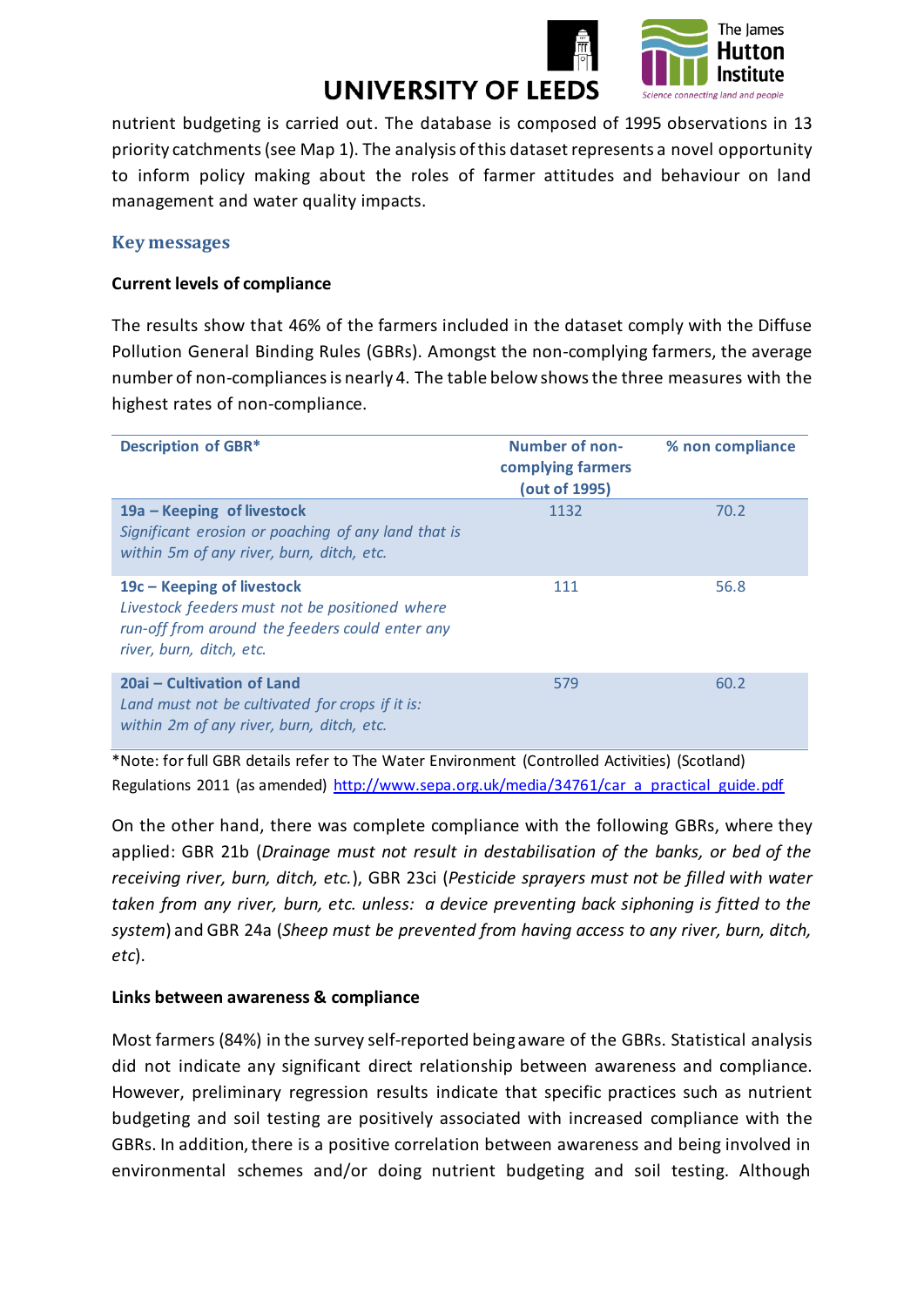

nutrient budgeting is carried out. The database is composed of 1995 observations in 13 priority catchments(see Map 1). The analysis of this dataset represents a novel opportunity to inform policy making about the roles of farmer attitudes and behaviour on land management and water quality impacts.

#### **Key messages**

#### **Current levels of compliance**

The results show that 46% of the farmers included in the dataset comply with the Diffuse Pollution General Binding Rules (GBRs). Amongst the non-complying farmers, the average number of non-compliancesis nearly 4. The table below showsthe three measures with the highest rates of non-compliance.

| <b>Description of GBR*</b>                                                                                                                                    | <b>Number of non-</b><br>complying farmers<br>(out of 1995) | % non compliance |
|---------------------------------------------------------------------------------------------------------------------------------------------------------------|-------------------------------------------------------------|------------------|
| 19a – Keeping of livestock<br>Significant erosion or poaching of any land that is<br>within 5m of any river, burn, ditch, etc.                                | 1132                                                        | 70.2             |
| $19c - Keeping$ of livestock<br>Livestock feeders must not be positioned where<br>run-off from around the feeders could enter any<br>river, burn, ditch, etc. | 111                                                         | 56.8             |
| 20ai – Cultivation of Land<br>Land must not be cultivated for crops if it is:<br>within 2m of any river, burn, ditch, etc.                                    | 579                                                         | 60.2             |

\*Note: for full GBR details refer to The Water Environment (Controlled Activities) (Scotland) Regulations 2011 (as amended) [http://www.sepa.org.uk/media/34761/car\\_a\\_practical\\_guide.pdf](http://www.sepa.org.uk/media/34761/car_a_practical_guide.pdf)

On the other hand, there was complete compliance with the following GBRs, where they applied: GBR 21b (*Drainage must not result in destabilisation of the banks, or bed of the receiving river, burn, ditch, etc.*), GBR 23ci (*Pesticide sprayers must not be filled with water taken from any river, burn, etc. unless: a device preventing back siphoning is fitted to the system*) and GBR 24a (*Sheep must be prevented from having access to any river, burn, ditch, etc*).

#### **Links between awareness & compliance**

Most farmers (84%) in the survey self-reported being aware of the GBRs. Statistical analysis did not indicate any significant direct relationship between awareness and compliance. However, preliminary regression results indicate that specific practices such as nutrient budgeting and soil testing are positively associated with increased compliance with the GBRs. In addition, there is a positive correlation between awareness and being involved in environmental schemes and/or doing nutrient budgeting and soil testing. Although